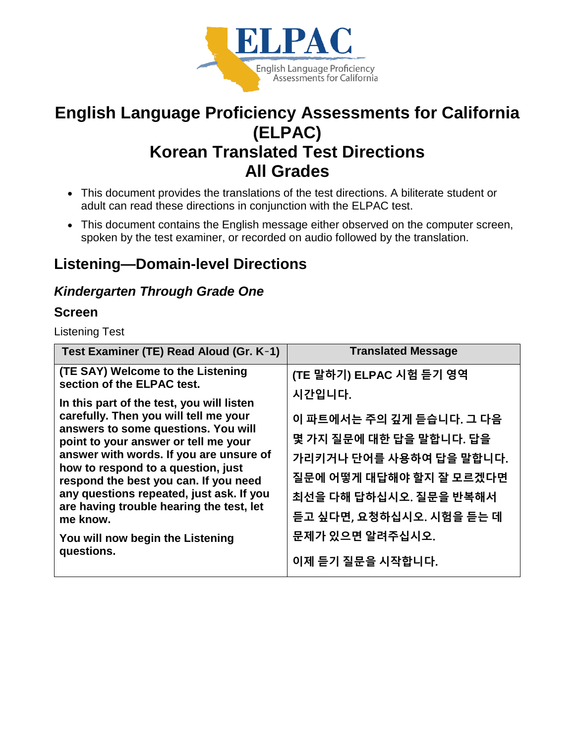

# **English Language Proficiency Assessments for California (ELPAC) Korean Translated Test Directions All Grades**

- This document provides the translations of the test directions. A biliterate student or adult can read these directions in conjunction with the ELPAC test.
- This document contains the English message either observed on the computer screen, spoken by the test examiner, or recorded on audio followed by the translation.

# **Listening—Domain-level Directions**

### *Kindergarten Through Grade One*

#### **Screen**

Listening Test

| Test Examiner (TE) Read Aloud (Gr. K-1)                                                                                                                                                                                                                                                                                                                                                                                             | <b>Translated Message</b>                                                                                                                                                                    |
|-------------------------------------------------------------------------------------------------------------------------------------------------------------------------------------------------------------------------------------------------------------------------------------------------------------------------------------------------------------------------------------------------------------------------------------|----------------------------------------------------------------------------------------------------------------------------------------------------------------------------------------------|
| (TE SAY) Welcome to the Listening<br>section of the ELPAC test.                                                                                                                                                                                                                                                                                                                                                                     | (TE 말하기) ELPAC 시험 듣기 영역                                                                                                                                                                      |
| In this part of the test, you will listen<br>carefully. Then you will tell me your<br>answers to some questions. You will<br>point to your answer or tell me your<br>answer with words. If you are unsure of<br>how to respond to a question, just<br>respond the best you can. If you need<br>any questions repeated, just ask. If you<br>are having trouble hearing the test, let<br>me know.<br>You will now begin the Listening | 시간입니다.<br>이 파트에서는 주의 깊게 듣습니다. 그 다음<br>몇 가지 질문에 대한 답을 말합니다. 답을<br>가리키거나 단어를 사용하여 답을 말합니다.<br>질문에 어떻게 대답해야 할지 잘 모르겠다면<br>최선을 다해 답하십시오. 질문을 반복해서<br>듣고 싶다면, 요청하십시오. 시험을 듣는 데<br>문제가 있으면 알려주십시오. |
| questions.                                                                                                                                                                                                                                                                                                                                                                                                                          | 이제 듣기 질문을 시작합니다.                                                                                                                                                                             |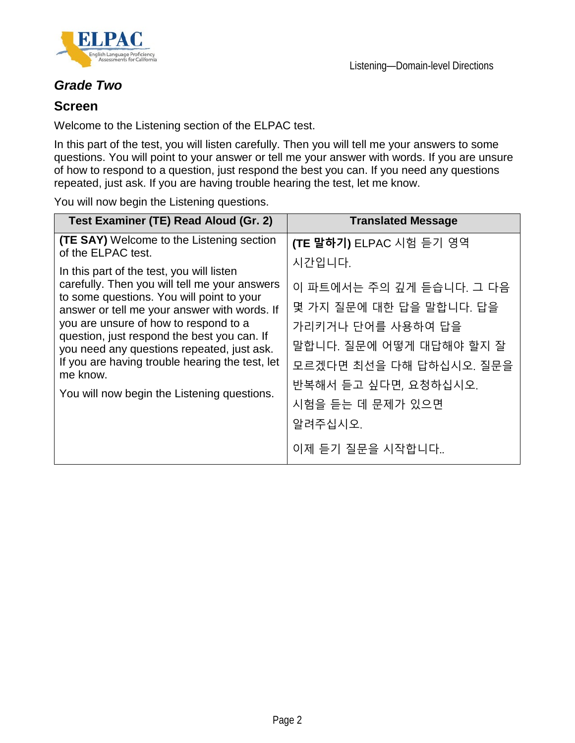



### *Grade Two*

#### **Screen**

Welcome to the Listening section of the ELPAC test.

In this part of the test, you will listen carefully. Then you will tell me your answers to some questions. You will point to your answer or tell me your answer with words. If you are unsure of how to respond to a question, just respond the best you can. If you need any questions repeated, just ask. If you are having trouble hearing the test, let me know.

You will now begin the Listening questions.

| Test Examiner (TE) Read Aloud (Gr. 2)                                                      | <b>Translated Message</b>          |
|--------------------------------------------------------------------------------------------|------------------------------------|
| <b>(TE SAY)</b> Welcome to the Listening section<br>of the ELPAC test.                     | (TE 말하기) ELPAC 시험 듣기 영역            |
| In this part of the test, you will listen<br>carefully. Then you will tell me your answers | 시간입니다.<br>이 파트에서는 주의 깊게 듣습니다. 그 다음 |
| to some questions. You will point to your<br>answer or tell me your answer with words. If  | 몇 가지 질문에 대한 답을 말합니다. 답을            |
| you are unsure of how to respond to a<br>question, just respond the best you can. If       | 가리키거나 단어를 사용하여 답을                  |
| you need any questions repeated, just ask.                                                 | 말합니다. 질문에 어떻게 대답해야 할지 잘            |
| If you are having trouble hearing the test, let<br>me know.                                | 모르겠다면 최선을 다해 답하십시오. 질문을            |
| You will now begin the Listening questions.                                                | 반복해서 듣고 싶다면, 요청하십시오.               |
|                                                                                            | 시험을 듣는 데 문제가 있으면                   |
|                                                                                            | 알려주십시오.                            |
|                                                                                            | 이제 듣기 질문을 시작합니다                    |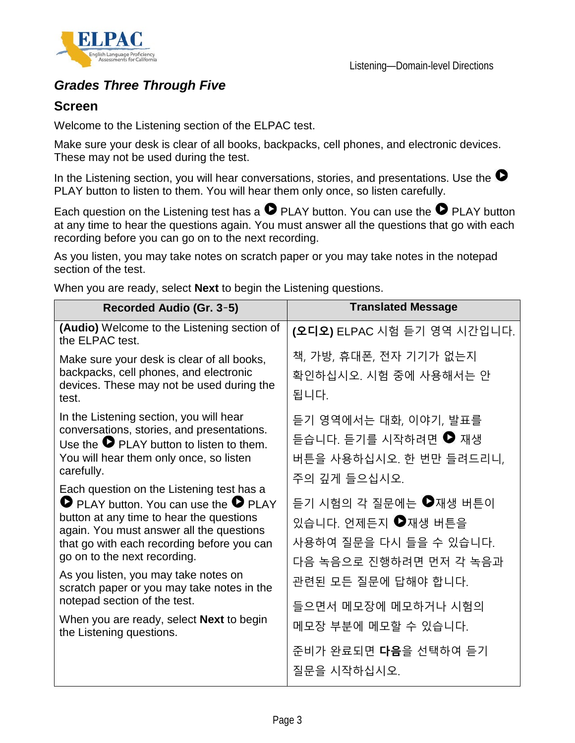



### *Grades Three Through Five*

#### **Screen**

Welcome to the Listening section of the ELPAC test.

Make sure your desk is clear of all books, backpacks, cell phones, and electronic devices. These may not be used during the test.

In the Listening section, you will hear conversations, stories, and presentations. Use the  $\bullet$ PLAY button to listen to them. You will hear them only once, so listen carefully.

Each question on the Listening test has a  $\bullet$  PLAY button. You can use the  $\bullet$  PLAY button at any time to hear the questions again. You must answer all the questions that go with each recording before you can go on to the next recording.

As you listen, you may take notes on scratch paper or you may take notes in the notepad section of the test.

When you are ready, select **Next** to begin the Listening questions.

| Recorded Audio (Gr. 3-5)                                                                                                                                                                                                                                                                                                                                                                                                                                                                                                                                                                                                                       | <b>Translated Message</b>                                                                                                                                                                                                                                        |
|------------------------------------------------------------------------------------------------------------------------------------------------------------------------------------------------------------------------------------------------------------------------------------------------------------------------------------------------------------------------------------------------------------------------------------------------------------------------------------------------------------------------------------------------------------------------------------------------------------------------------------------------|------------------------------------------------------------------------------------------------------------------------------------------------------------------------------------------------------------------------------------------------------------------|
| (Audio) Welcome to the Listening section of<br>the ELPAC test.                                                                                                                                                                                                                                                                                                                                                                                                                                                                                                                                                                                 | (오디오) ELPAC 시험 듣기 영역 시간입니다.                                                                                                                                                                                                                                      |
| Make sure your desk is clear of all books,<br>backpacks, cell phones, and electronic<br>devices. These may not be used during the<br>test.                                                                                                                                                                                                                                                                                                                                                                                                                                                                                                     | 책, 가방, 휴대폰, 전자 기기가 없는지<br>확인하십시오. 시험 중에 사용해서는 안<br>됩니다.                                                                                                                                                                                                          |
| In the Listening section, you will hear<br>conversations, stories, and presentations.<br>Use the $\bullet$ PLAY button to listen to them.<br>You will hear them only once, so listen<br>carefully.<br>Each question on the Listening test has a<br><b>O</b> PLAY button. You can use the <b>O</b> PLAY<br>button at any time to hear the questions<br>again. You must answer all the questions<br>that go with each recording before you can<br>go on to the next recording.<br>As you listen, you may take notes on<br>scratch paper or you may take notes in the<br>notepad section of the test.<br>When you are ready, select Next to begin | 듣기 영역에서는 대화, 이야기, 발표를<br>듣습니다. 듣기를 시작하려면 ♥ 재생<br>버튼을 사용하십시오. 한 번만 들려드리니,<br>주의 깊게 들으십시오.<br>듣기 시험의 각 질문에는 ●재생 버튼이<br>있습니다. 언제든지 ●재생 버튼을<br>사용하여 질문을 다시 들을 수 있습니다.<br>다음 녹음으로 진행하려면 먼저 각 녹음과<br>관련된 모든 질문에 답해야 합니다.<br>들으면서 메모장에 메모하거나 시험의<br>메모장 부분에 메모할 수 있습니다. |
| the Listening questions.                                                                                                                                                                                                                                                                                                                                                                                                                                                                                                                                                                                                                       | 준비가 완료되면 다음을 선택하여 듣기<br>질문을 시작하십시오.                                                                                                                                                                                                                              |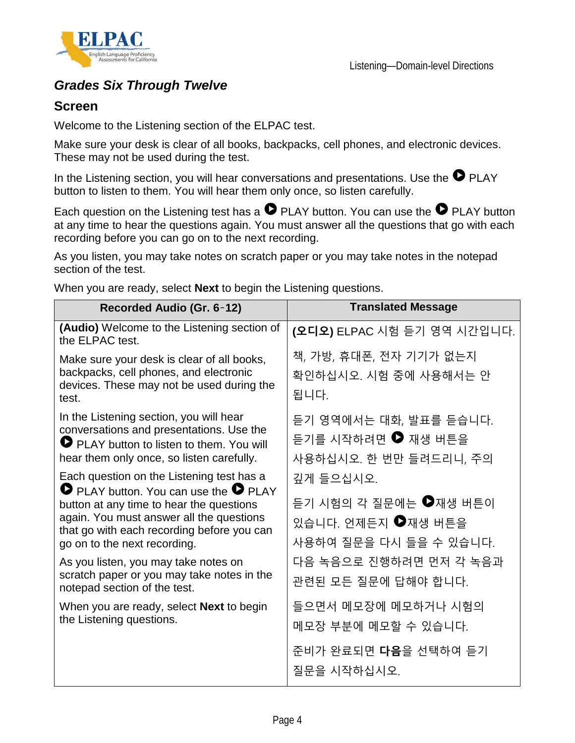

### *Grades Six Through Twelve*

#### **Screen**

Welcome to the Listening section of the ELPAC test.

Make sure your desk is clear of all books, backpacks, cell phones, and electronic devices. These may not be used during the test.

In the Listening section, you will hear conversations and presentations. Use the  $\bullet$  PLAY button to listen to them. You will hear them only once, so listen carefully.

Each question on the Listening test has a  $\bullet$  PLAY button. You can use the  $\bullet$  PLAY button at any time to hear the questions again. You must answer all the questions that go with each recording before you can go on to the next recording.

As you listen, you may take notes on scratch paper or you may take notes in the notepad section of the test.

When you are ready, select **Next** to begin the Listening questions.

| Recorded Audio (Gr. 6-12)                                                                                                                                                                                                                                              | <b>Translated Message</b>                                                          |
|------------------------------------------------------------------------------------------------------------------------------------------------------------------------------------------------------------------------------------------------------------------------|------------------------------------------------------------------------------------|
| (Audio) Welcome to the Listening section of<br>the ELPAC test.                                                                                                                                                                                                         | (오디오) ELPAC 시험 듣기 영역 시간입니다.                                                        |
| Make sure your desk is clear of all books,<br>backpacks, cell phones, and electronic<br>devices. These may not be used during the<br>test.                                                                                                                             | 책, 가방, 휴대폰, 전자 기기가 없는지<br>확인하십시오. 시험 중에 사용해서는 안<br>됩니다.                            |
| In the Listening section, you will hear<br>conversations and presentations. Use the<br>PLAY button to listen to them. You will<br>hear them only once, so listen carefully.                                                                                            | 듣기 영역에서는 대화, 발표를 듣습니다.<br>듣기를 시작하려면 ♥ 재생 버튼을<br>사용하십시오. 한 번만 들려드리니, 주의             |
| Each question on the Listening test has a<br><b>O</b> PLAY button. You can use the <b>O</b> PLAY<br>button at any time to hear the questions<br>again. You must answer all the questions<br>that go with each recording before you can<br>go on to the next recording. | 깊게 들으십시오.<br>듣기 시험의 각 질문에는 ♥재생 버튼이<br>있습니다. 언제든지 ●재생 버튼을<br>사용하여 질문을 다시 들을 수 있습니다. |
| As you listen, you may take notes on<br>scratch paper or you may take notes in the<br>notepad section of the test.                                                                                                                                                     | 다음 녹음으로 진행하려면 먼저 각 녹음과<br>관련된 모든 질문에 답해야 합니다.                                      |
| When you are ready, select <b>Next</b> to begin<br>the Listening questions.                                                                                                                                                                                            | 들으면서 메모장에 메모하거나 시험의<br>메모장 부분에 메모할 수 있습니다.                                         |
|                                                                                                                                                                                                                                                                        | 준비가 완료되면 <b>다음</b> 을 선택하여 듣기<br>질문을 시작하십시오.                                        |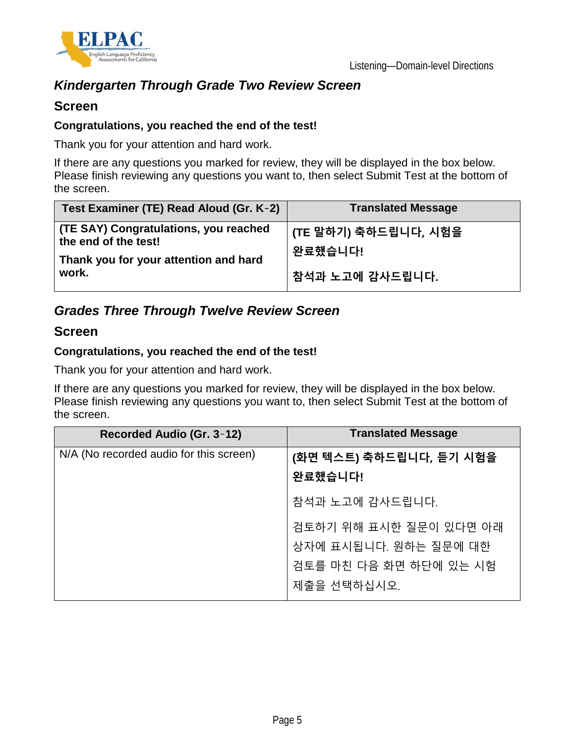

## *Kindergarten Through Grade Two Review Screen*

#### **Screen**

#### **Congratulations, you reached the end of the test!**

Thank you for your attention and hard work.

If there are any questions you marked for review, they will be displayed in the box below. Please finish reviewing any questions you want to, then select Submit Test at the bottom of the screen.

| Test Examiner (TE) Read Aloud (Gr. K-2)                       | <b>Translated Message</b>       |
|---------------------------------------------------------------|---------------------------------|
| (TE SAY) Congratulations, you reached<br>the end of the test! | (TE 말하기) 축하드립니다, 시험을<br>완료했습니다! |
| Thank you for your attention and hard<br>work.                | 참석과 노고에 감사드립니다.                 |

### *Grades Three Through Twelve Review Screen*

#### **Screen**

#### **Congratulations, you reached the end of the test!**

Thank you for your attention and hard work.

If there are any questions you marked for review, they will be displayed in the box below. Please finish reviewing any questions you want to, then select Submit Test at the bottom of the screen.

| Recorded Audio (Gr. 3-12)               | <b>Translated Message</b> |
|-----------------------------------------|---------------------------|
| N/A (No recorded audio for this screen) | (화면 텍스트) 축하드립니다, 듣기 시험을   |
|                                         | 완료했습니다!                   |
|                                         | 참석과 노고에 감사드립니다.           |
|                                         | 검토하기 위해 표시한 질문이 있다면 아래    |
|                                         | 상자에 표시됩니다. 원하는 질문에 대한     |
|                                         | 검토를 마친 다음 화면 하단에 있는 시험    |
|                                         | 제출을 선택하십시오.               |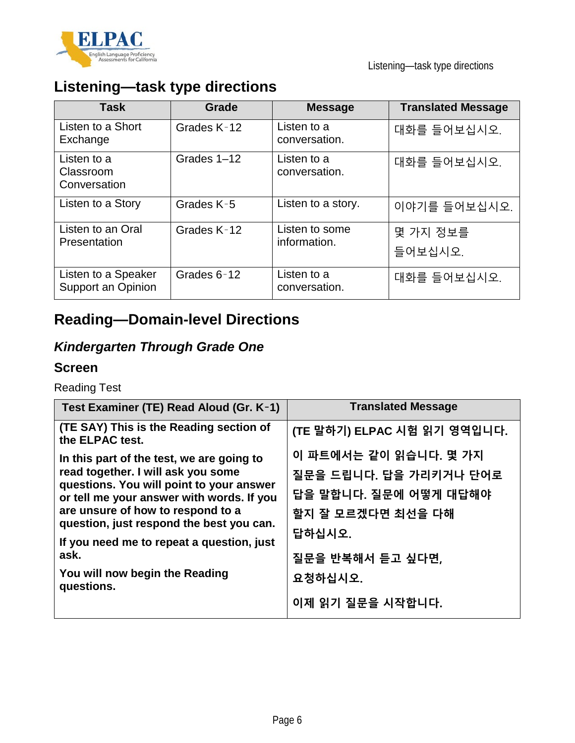

# **Listening—task type directions**

| <b>Task</b>                               | Grade       | <b>Message</b>                 | <b>Translated Message</b> |
|-------------------------------------------|-------------|--------------------------------|---------------------------|
| Listen to a Short<br>Exchange             | Grades K-12 | Listen to a<br>conversation.   | 대화를 들어보십시오.               |
| Listen to a<br>Classroom<br>Conversation  | Grades 1-12 | Listen to a<br>conversation.   | 대화를 들어보십시오.               |
| Listen to a Story                         | Grades K-5  | Listen to a story.             | 이야기를 들어보십시오.              |
| Listen to an Oral<br>Presentation         | Grades K-12 | Listen to some<br>information. | 몇 가지 정보를<br>들어보십시오.       |
| Listen to a Speaker<br>Support an Opinion | Grades 6-12 | Listen to a<br>conversation.   | 대화를 들어보십시오.               |

# **Reading—Domain-level Directions**

## *Kindergarten Through Grade One*

#### **Screen**

Reading Test

| Test Examiner (TE) Read Aloud (Gr. K-1)                                                                                                                                                                                                                                                                        | <b>Translated Message</b>                                                                                                   |
|----------------------------------------------------------------------------------------------------------------------------------------------------------------------------------------------------------------------------------------------------------------------------------------------------------------|-----------------------------------------------------------------------------------------------------------------------------|
| (TE SAY) This is the Reading section of<br>the ELPAC test.                                                                                                                                                                                                                                                     | (TE 말하기) ELPAC 시험 읽기 영역입니다.                                                                                                 |
| In this part of the test, we are going to<br>read together. I will ask you some<br>questions. You will point to your answer<br>or tell me your answer with words. If you<br>are unsure of how to respond to a<br>question, just respond the best you can.<br>If you need me to repeat a question, just<br>ask. | 이 파트에서는 같이 읽습니다. 몇 가지<br>질문을 드립니다. 답을 가리키거나 단어로<br>답을 말합니다. 질문에 어떻게 대답해야<br>할지 잘 모르겠다면 최선을 다해<br>답하십시오.<br>질문을 반복해서 듣고 싶다면, |
| You will now begin the Reading<br>questions.                                                                                                                                                                                                                                                                   | 요청하십시오.<br>이제 읽기 질문을 시작합니다.                                                                                                 |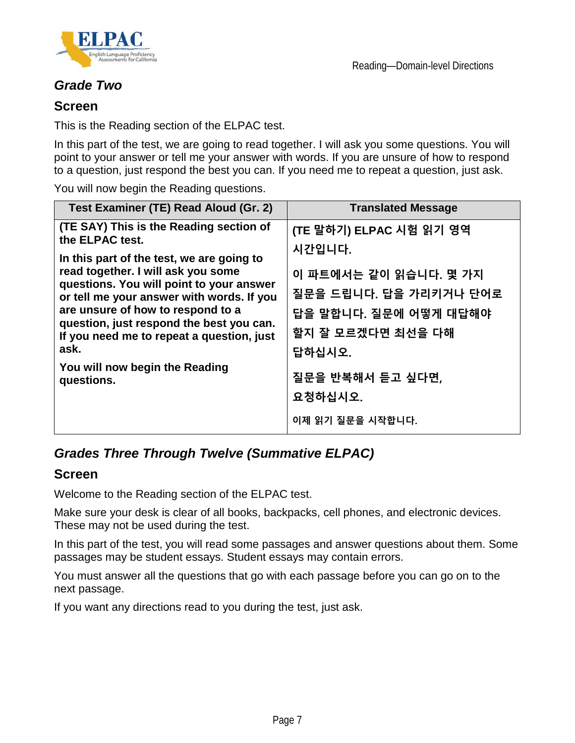

### *Grade Two*

#### **Screen**

This is the Reading section of the ELPAC test.

In this part of the test, we are going to read together. I will ask you some questions. You will point to your answer or tell me your answer with words. If you are unsure of how to respond to a question, just respond the best you can. If you need me to repeat a question, just ask.

You will now begin the Reading questions.

| Test Examiner (TE) Read Aloud (Gr. 2)                                                                                                                                                                                                                                                                                                                                                                                        | <b>Translated Message</b>                                                                                                                                                                       |
|------------------------------------------------------------------------------------------------------------------------------------------------------------------------------------------------------------------------------------------------------------------------------------------------------------------------------------------------------------------------------------------------------------------------------|-------------------------------------------------------------------------------------------------------------------------------------------------------------------------------------------------|
| (TE SAY) This is the Reading section of<br>the ELPAC test.<br>In this part of the test, we are going to<br>read together. I will ask you some<br>questions. You will point to your answer<br>or tell me your answer with words. If you<br>are unsure of how to respond to a<br>question, just respond the best you can.<br>If you need me to repeat a question, just<br>ask.<br>You will now begin the Reading<br>questions. | (TE 말하기) ELPAC 시험 읽기 영역<br>시간입니다.<br>이 파트에서는 같이 읽습니다. 몇 가지<br>질문을 드립니다. 답을 가리키거나 단어로<br>답을 말합니다. 질문에 어떻게 대답해야<br>할지 잘 모르겠다면 최선을 다해<br>답하십시오.<br>질문을 반복해서 듣고 싶다면,<br>요청하십시오.<br>이제 읽기 질문을 시작합니다. |
|                                                                                                                                                                                                                                                                                                                                                                                                                              |                                                                                                                                                                                                 |

## *Grades Three Through Twelve (Summative ELPAC)*

#### **Screen**

Welcome to the Reading section of the ELPAC test.

Make sure your desk is clear of all books, backpacks, cell phones, and electronic devices. These may not be used during the test.

In this part of the test, you will read some passages and answer questions about them. Some passages may be student essays. Student essays may contain errors.

You must answer all the questions that go with each passage before you can go on to the next passage.

If you want any directions read to you during the test, just ask.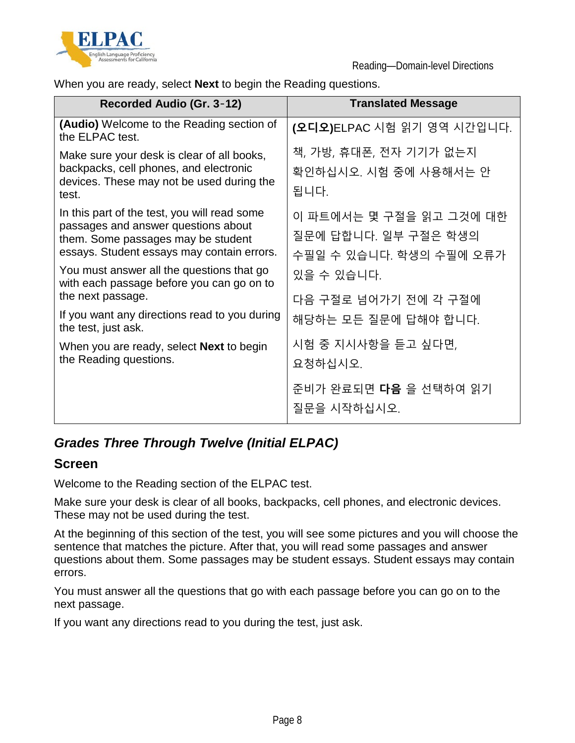

When you are ready, select **Next** to begin the Reading questions.

| Recorded Audio (Gr. 3-12)                                                                                                                                               | <b>Translated Message</b>                                                  |
|-------------------------------------------------------------------------------------------------------------------------------------------------------------------------|----------------------------------------------------------------------------|
| <b>(Audio)</b> Welcome to the Reading section of<br>the ELPAC test.                                                                                                     | (오디오)ELPAC 시험 읽기 영역 시간입니다.                                                 |
| Make sure your desk is clear of all books,<br>backpacks, cell phones, and electronic<br>devices. These may not be used during the<br>test.                              | 책, 가방, 휴대폰, 전자 기기가 없는지<br>확인하십시오. 시험 중에 사용해서는 안<br>됩니다.                    |
| In this part of the test, you will read some<br>passages and answer questions about<br>them. Some passages may be student<br>essays. Student essays may contain errors. | 이 파트에서는 몇 구절을 읽고 그것에 대한<br>질문에 답합니다. 일부 구절은 학생의<br>수필일 수 있습니다. 학생의 수필에 오류가 |
| You must answer all the questions that go<br>with each passage before you can go on to                                                                                  | 있을 수 있습니다.                                                                 |
| the next passage.                                                                                                                                                       | 다음 구절로 넘어가기 전에 각 구절에                                                       |
| If you want any directions read to you during<br>the test, just ask.                                                                                                    | 해당하는 모든 질문에 답해야 합니다.                                                       |
| When you are ready, select <b>Next</b> to begin<br>the Reading questions.                                                                                               | 시험 중 지시사항을 듣고 싶다면,<br>요청하십시오.                                              |
|                                                                                                                                                                         | 준비가 완료되면 <b>다음</b> 을 선택하여 읽기<br>질문을 시작하십시오.                                |

## *Grades Three Through Twelve (Initial ELPAC)*

### **Screen**

Welcome to the Reading section of the ELPAC test.

Make sure your desk is clear of all books, backpacks, cell phones, and electronic devices. These may not be used during the test.

At the beginning of this section of the test, you will see some pictures and you will choose the sentence that matches the picture. After that, you will read some passages and answer questions about them. Some passages may be student essays. Student essays may contain errors.

You must answer all the questions that go with each passage before you can go on to the next passage.

If you want any directions read to you during the test, just ask.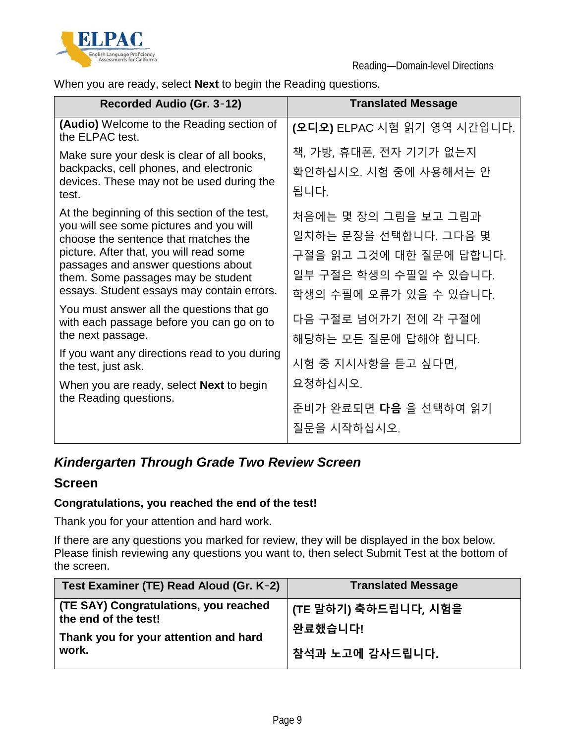

When you are ready, select **Next** to begin the Reading questions.

| Recorded Audio (Gr. 3-12)                                                                                                                                                                                                                                                                              | <b>Translated Message</b>                                                                                                    |
|--------------------------------------------------------------------------------------------------------------------------------------------------------------------------------------------------------------------------------------------------------------------------------------------------------|------------------------------------------------------------------------------------------------------------------------------|
| (Audio) Welcome to the Reading section of<br>the ELPAC test.                                                                                                                                                                                                                                           | (오디오) ELPAC 시험 읽기 영역 시간입니다.                                                                                                  |
| Make sure your desk is clear of all books,<br>backpacks, cell phones, and electronic<br>devices. These may not be used during the<br>test.                                                                                                                                                             | 책, 가방, 휴대폰, 전자 기기가 없는지<br>확인하십시오. 시험 중에 사용해서는 안<br>됩니다.                                                                      |
| At the beginning of this section of the test,<br>you will see some pictures and you will<br>choose the sentence that matches the<br>picture. After that, you will read some<br>passages and answer questions about<br>them. Some passages may be student<br>essays. Student essays may contain errors. | 처음에는 몇 장의 그림을 보고 그림과<br>일치하는 문장을 선택합니다. 그다음 몇<br>구절을 읽고 그것에 대한 질문에 답합니다.<br>일부 구절은 학생의 수필일 수 있습니다.<br>학생의 수필에 오류가 있을 수 있습니다. |
| You must answer all the questions that go<br>with each passage before you can go on to<br>the next passage.<br>If you want any directions read to you during                                                                                                                                           | 다음 구절로 넘어가기 전에 각 구절에<br>해당하는 모든 질문에 답해야 합니다.                                                                                 |
| the test, just ask.                                                                                                                                                                                                                                                                                    | 시험 중 지시사항을 듣고 싶다면,                                                                                                           |
| When you are ready, select <b>Next</b> to begin<br>the Reading questions.                                                                                                                                                                                                                              | 요청하십시오.                                                                                                                      |
|                                                                                                                                                                                                                                                                                                        | 준비가 완료되면 <b>다음</b> 을 선택하여 읽기<br>질문을 시작하십시오.                                                                                  |

### *Kindergarten Through Grade Two Review Screen*

#### **Screen**

#### **Congratulations, you reached the end of the test!**

Thank you for your attention and hard work.

If there are any questions you marked for review, they will be displayed in the box below. Please finish reviewing any questions you want to, then select Submit Test at the bottom of the screen.

| Test Examiner (TE) Read Aloud (Gr. K-2)                       | <b>Translated Message</b>       |
|---------------------------------------------------------------|---------------------------------|
| (TE SAY) Congratulations, you reached<br>the end of the test! | (TE 말하기) 축하드립니다, 시험을<br>완료했습니다! |
| Thank you for your attention and hard<br>work.                | 참석과 노고에 감사드립니다.                 |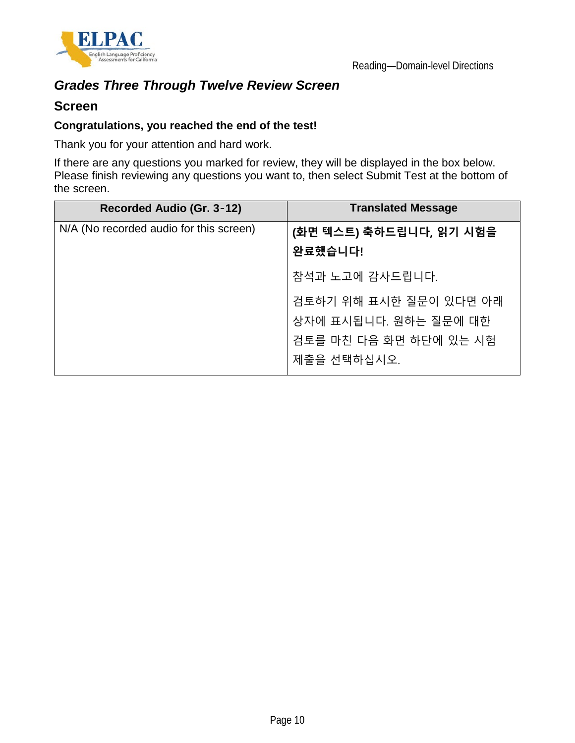

## *Grades Three Through Twelve Review Screen*

#### **Screen**

#### **Congratulations, you reached the end of the test!**

Thank you for your attention and hard work.

If there are any questions you marked for review, they will be displayed in the box below. Please finish reviewing any questions you want to, then select Submit Test at the bottom of the screen.

| Recorded Audio (Gr. 3-12)               | <b>Translated Message</b> |
|-----------------------------------------|---------------------------|
| N/A (No recorded audio for this screen) | (화면 텍스트) 축하드립니다, 읽기 시험을   |
|                                         | 완료했습니다!                   |
|                                         | 참석과 노고에 감사드립니다.           |
|                                         | 검토하기 위해 표시한 질문이 있다면 아래    |
|                                         | 상자에 표시됩니다. 원하는 질문에 대한     |
|                                         | 검토를 마친 다음 화면 하단에 있는 시험    |
|                                         | 제출을 선택하십시오.               |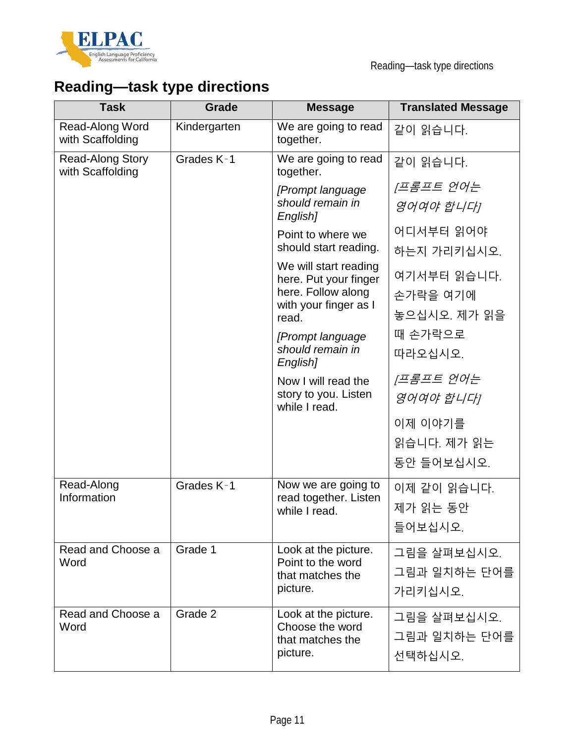

# **Reading—task type directions**

| <b>Task</b>                          | Grade        | <b>Message</b>                                               | <b>Translated Message</b> |
|--------------------------------------|--------------|--------------------------------------------------------------|---------------------------|
| Read-Along Word<br>with Scaffolding  | Kindergarten | We are going to read<br>together.                            | 같이 읽습니다.                  |
| Read-Along Story<br>with Scaffolding | Grades K-1   | We are going to read<br>together.                            | 같이 읽습니다.                  |
|                                      |              | [Prompt language]                                            | [프롬프트 언어는                 |
|                                      |              | should remain in<br>English]                                 | 영어여야 합니다]                 |
|                                      |              | Point to where we                                            | 어디서부터 읽어야                 |
|                                      |              | should start reading.                                        | 하는지 가리키십시오.               |
|                                      |              | We will start reading<br>here. Put your finger               | 여기서부터 읽습니다.               |
|                                      |              | here. Follow along<br>with your finger as I                  | 손가락을 여기에                  |
|                                      |              | read.                                                        | 놓으십시오. 제가 읽을              |
|                                      |              | [Prompt language]                                            | 때 손가락으로                   |
|                                      |              | should remain in<br>English]                                 | 따라오십시오.                   |
|                                      |              | Now I will read the<br>story to you. Listen<br>while I read. | [프롬프트 언어는                 |
|                                      |              |                                                              | 영어여야 합니다]                 |
|                                      |              |                                                              | 이제 이야기를                   |
|                                      |              |                                                              | 읽습니다. 제가 읽는               |
|                                      |              |                                                              | 동안 들어보십시오.                |
| Read-Along                           | Grades K-1   | Now we are going to                                          | 이제 같이 읽습니다.               |
| Information                          |              | read together. Listen<br>while I read.                       | 제가 읽는 동안                  |
|                                      |              |                                                              | 들어보십시오.                   |
| Read and Choose a                    | Grade 1      | Look at the picture.                                         | 그림을 살펴보십시오.               |
| Word                                 |              | Point to the word<br>that matches the                        | 그림과 일치하는 단어를              |
|                                      |              | picture.                                                     | 가리키십시오.                   |
| Read and Choose a                    | Grade 2      | Look at the picture.<br>Choose the word<br>that matches the  | 그림을 살펴보십시오.               |
| Word                                 |              |                                                              | 그림과 일치하는 단어를              |
| picture.                             |              | 선택하십시오.                                                      |                           |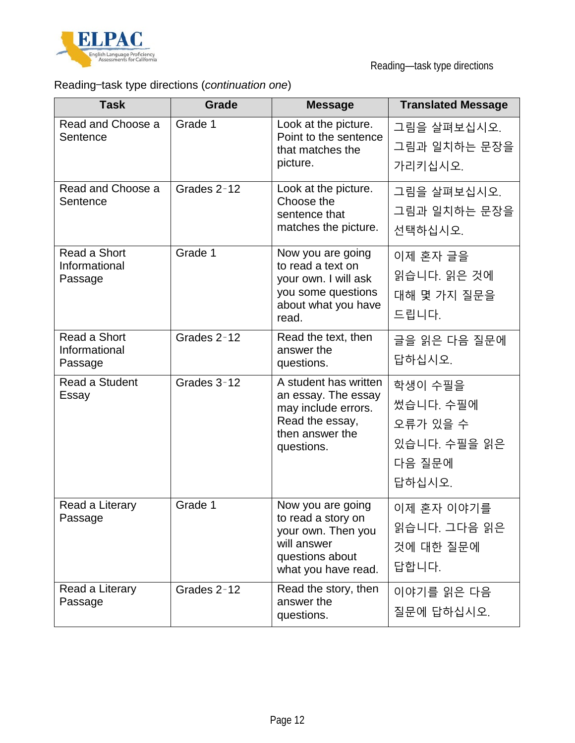

Reading—task type directions

## Reading—task type directions (*continuation one*)

| <b>Task</b>                              | <b>Grade</b> | <b>Message</b>                                                                                                          | <b>Translated Message</b>                                            |
|------------------------------------------|--------------|-------------------------------------------------------------------------------------------------------------------------|----------------------------------------------------------------------|
| Read and Choose a<br>Sentence            | Grade 1      | Look at the picture.<br>Point to the sentence<br>that matches the<br>picture.                                           | 그림을 살펴보십시오.<br>그림과 일치하는 문장을<br>가리키십시오.                               |
| Read and Choose a<br>Sentence            | Grades 2-12  | Look at the picture.<br>Choose the<br>sentence that<br>matches the picture.                                             | 그림을 살펴보십시오.<br>그림과 일치하는 문장을<br>선택하십시오.                               |
| Read a Short<br>Informational<br>Passage | Grade 1      | Now you are going<br>to read a text on<br>your own. I will ask<br>you some questions<br>about what you have<br>read.    | 이제 혼자 글을<br>읽습니다. 읽은 것에<br>대해 몇 가지 질문을<br>드립니다.                      |
| Read a Short<br>Informational<br>Passage | Grades 2-12  | Read the text, then<br>answer the<br>questions.                                                                         | 글을 읽은 다음 질문에<br>답하십시오.                                               |
| Read a Student<br>Essay                  | Grades 3-12  | A student has written<br>an essay. The essay<br>may include errors.<br>Read the essay,<br>then answer the<br>questions. | 학생이 수필을<br>썼습니다. 수필에<br>오류가 있을 수<br>있습니다. 수필을 읽은<br>다음 질문에<br>답하십시오. |
| Read a Literary<br>Passage               | Grade 1      | Now you are going<br>to read a story on<br>your own. Then you<br>will answer<br>questions about<br>what you have read.  | 이제 혼자 이야기를<br>읽습니다. 그다음 읽은<br>것에 대한 질문에<br>답합니다.                     |
| Read a Literary<br>Passage               | Grades 2-12  | Read the story, then<br>answer the<br>questions.                                                                        | 이야기를 읽은 다음<br>질문에 답하십시오.                                             |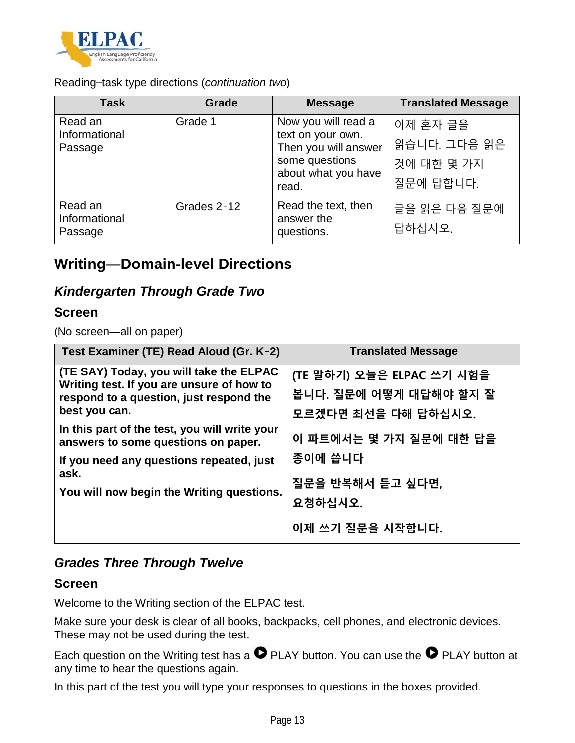

Reading—task type directions (*continuation two*)

| Task                                | <b>Grade</b> | <b>Message</b>                                                                                                     | <b>Translated Message</b>                           |
|-------------------------------------|--------------|--------------------------------------------------------------------------------------------------------------------|-----------------------------------------------------|
| Read an<br>Informational<br>Passage | Grade 1      | Now you will read a<br>text on your own.<br>Then you will answer<br>some questions<br>about what you have<br>read. | 이제 혼자 글을<br>읽습니다. 그다음 읽은<br>것에 대한 몇 가지<br>질문에 답합니다. |
| Read an<br>Informational<br>Passage | Grades 2-12  | Read the text, then<br>answer the<br>questions.                                                                    | 글을 읽은 다음 질문에<br>답하십시오.                              |

## **Writing—Domain-level Directions**

### *Kindergarten Through Grade Two*

#### **Screen**

(No screen—all on paper)

| Test Examiner (TE) Read Aloud (Gr. K-2)                                                                                                                                               | <b>Translated Message</b>                                                  |
|---------------------------------------------------------------------------------------------------------------------------------------------------------------------------------------|----------------------------------------------------------------------------|
| (TE SAY) Today, you will take the ELPAC<br>Writing test. If you are unsure of how to<br>respond to a question, just respond the<br>best you can.                                      | (TE 말하기) 오늘은 ELPAC 쓰기 시험을<br>봅니다. 질문에 어떻게 대답해야 할지 잘<br>모르겠다면 최선을 다해 답하십시오. |
| In this part of the test, you will write your<br>answers to some questions on paper.<br>If you need any questions repeated, just<br>ask.<br>You will now begin the Writing questions. | 이 파트에서는 몇 가지 질문에 대한 답을<br>종이에 씁니다                                          |
|                                                                                                                                                                                       | 질문을 반복해서 듣고 싶다면,<br>요청하십시오.                                                |
|                                                                                                                                                                                       | 이제 쓰기 질문을 시작합니다.                                                           |

### *Grades Three Through Twelve*

#### **Screen**

Welcome to the Writing section of the ELPAC test.

Make sure your desk is clear of all books, backpacks, cell phones, and electronic devices. These may not be used during the test.

Each question on the Writing test has a  $\bullet$  PLAY button. You can use the  $\bullet$  PLAY button at any time to hear the questions again.

In this part of the test you will type your responses to questions in the boxes provided.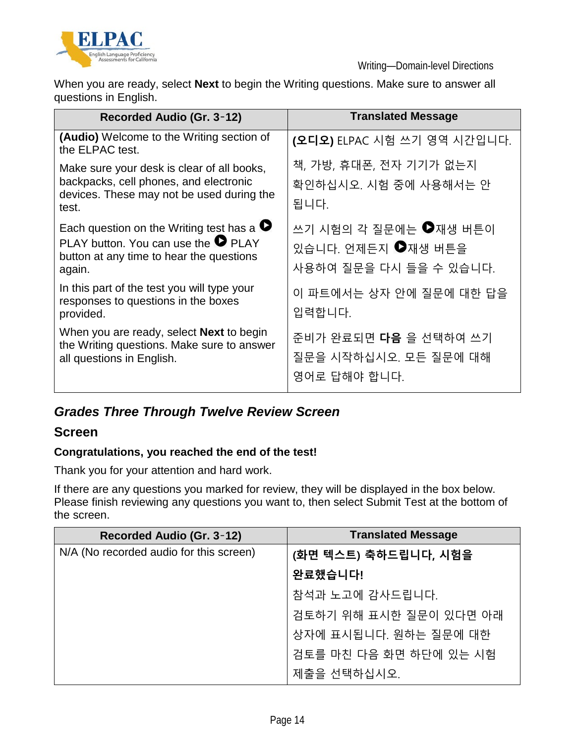

When you are ready, select **Next** to begin the Writing questions. Make sure to answer all questions in English.

| Recorded Audio (Gr. 3-12)                                                                                                                              | <b>Translated Message</b>                                             |
|--------------------------------------------------------------------------------------------------------------------------------------------------------|-----------------------------------------------------------------------|
| <b>(Audio)</b> Welcome to the Writing section of<br>the ELPAC test.                                                                                    | (오디오) ELPAC 시험 쓰기 영역 시간입니다.                                           |
| Make sure your desk is clear of all books,<br>backpacks, cell phones, and electronic<br>devices. These may not be used during the<br>test.             | 책, 가방, 휴대폰, 전자 기기가 없는지<br>확인하십시오. 시험 중에 사용해서는 안<br>됩니다.               |
| Each question on the Writing test has a $\bullet$<br>PLAY button. You can use the $\bullet$ PLAY<br>button at any time to hear the questions<br>again. | 쓰기 시험의 각 질문에는 ●재생 버튼이<br>있습니다. 언제든지 ●재생 버튼을<br>사용하여 질문을 다시 들을 수 있습니다. |
| In this part of the test you will type your<br>responses to questions in the boxes<br>provided.                                                        | 이 파트에서는 상자 안에 질문에 대한 답을<br>입력합니다.                                     |
| When you are ready, select <b>Next</b> to begin<br>the Writing questions. Make sure to answer<br>all questions in English.                             | 준비가 완료되면 다음 을 선택하여 쓰기<br>질문을 시작하십시오. 모든 질문에 대해<br>영어로 답해야 합니다.        |

## *Grades Three Through Twelve Review Screen*

#### **Screen**

#### **Congratulations, you reached the end of the test!**

Thank you for your attention and hard work.

If there are any questions you marked for review, they will be displayed in the box below. Please finish reviewing any questions you want to, then select Submit Test at the bottom of the screen.

| Recorded Audio (Gr. 3-12)               | <b>Translated Message</b> |
|-----------------------------------------|---------------------------|
| N/A (No recorded audio for this screen) | (화면 텍스트) 축하드립니다, 시험을      |
|                                         | 완료했습니다!                   |
|                                         | 참석과 노고에 감사드립니다.           |
|                                         | 검토하기 위해 표시한 질문이 있다면 아래    |
|                                         | 상자에 표시됩니다. 원하는 질문에 대한     |
|                                         | 검토를 마친 다음 화면 하단에 있는 시험    |
|                                         | 제출을 선택하십시오.               |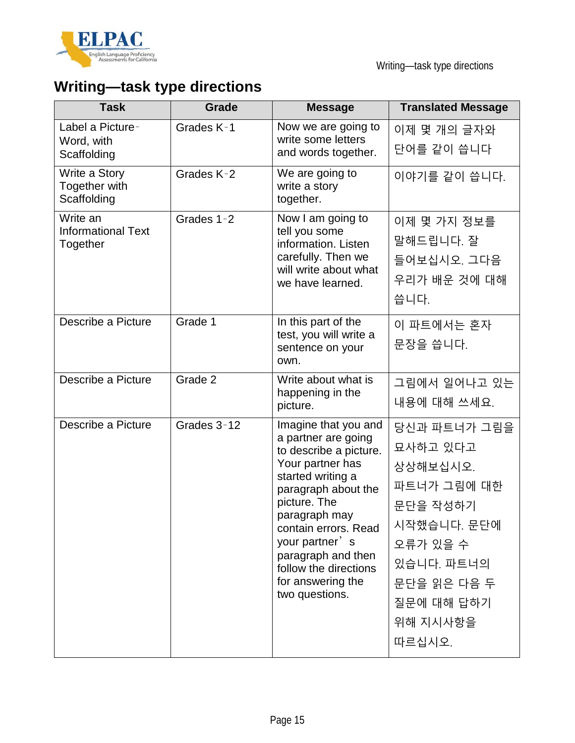

| <b>Task</b>                                       | Grade       | <b>Message</b>                                                                                                                                                                                                                                                                                         | <b>Translated Message</b>                                                                                                                                   |
|---------------------------------------------------|-------------|--------------------------------------------------------------------------------------------------------------------------------------------------------------------------------------------------------------------------------------------------------------------------------------------------------|-------------------------------------------------------------------------------------------------------------------------------------------------------------|
| Label a Picture-<br>Word, with<br>Scaffolding     | Grades K-1  | Now we are going to<br>write some letters<br>and words together.                                                                                                                                                                                                                                       | 이제 몇 개의 글자와<br>단어를 같이 씁니다                                                                                                                                   |
| Write a Story<br>Together with<br>Scaffolding     | Grades K-2  | We are going to<br>write a story<br>together.                                                                                                                                                                                                                                                          | 이야기를 같이 씁니다.                                                                                                                                                |
| Write an<br><b>Informational Text</b><br>Together | Grades 1-2  | Now I am going to<br>tell you some<br>information. Listen<br>carefully. Then we<br>will write about what<br>we have learned.                                                                                                                                                                           | 이제 몇 가지 정보를<br>말해드립니다. 잘<br>들어보십시오. 그다음<br>우리가 배운 것에 대해<br>씁니다.                                                                                             |
| Describe a Picture                                | Grade 1     | In this part of the<br>test, you will write a<br>sentence on your<br>own.                                                                                                                                                                                                                              | 이 파트에서는 혼자<br>문장을 씁니다.                                                                                                                                      |
| Describe a Picture                                | Grade 2     | Write about what is<br>happening in the<br>picture.                                                                                                                                                                                                                                                    | 그림에서 일어나고 있는<br>내용에 대해 쓰세요.                                                                                                                                 |
| Describe a Picture                                | Grades 3-12 | Imagine that you and<br>a partner are going<br>to describe a picture.<br>Your partner has<br>started writing a<br>paragraph about the<br>picture. The<br>paragraph may<br>contain errors. Read<br>your partner's<br>paragraph and then<br>follow the directions<br>for answering the<br>two questions. | 당신과 파트너가 그림을<br>묘사하고 있다고<br>상상해보십시오.<br>파트너가 그림에 대한<br>문단을 작성하기<br>시작했습니다. 문단에<br>오류가 있을 수<br>있습니다. 파트너의<br>문단을 읽은 다음 두<br>질문에 대해 답하기<br>위해 지시사항을<br>따르십시오. |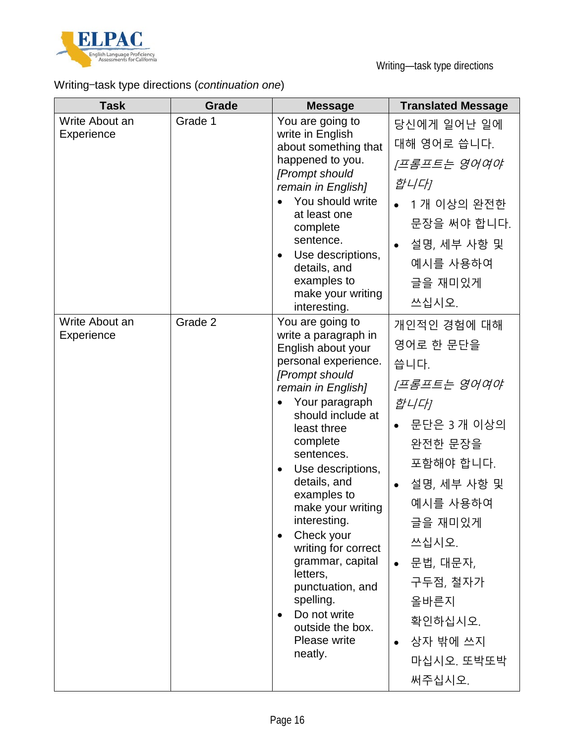

## Writing—task type directions (*continuation one*)

| <b>Task</b>                  | <b>Grade</b> | <b>Message</b>                                                                                                                                                                                                                                                                                                                                                                                                                                                               | <b>Translated Message</b>                                                                                                                                                                                                                 |
|------------------------------|--------------|------------------------------------------------------------------------------------------------------------------------------------------------------------------------------------------------------------------------------------------------------------------------------------------------------------------------------------------------------------------------------------------------------------------------------------------------------------------------------|-------------------------------------------------------------------------------------------------------------------------------------------------------------------------------------------------------------------------------------------|
| Write About an<br>Experience | Grade 1      | You are going to<br>write in English<br>about something that<br>happened to you.<br>[Prompt should<br>remain in English]<br>You should write<br>at least one<br>complete<br>sentence.<br>Use descriptions,<br>$\bullet$<br>details, and<br>examples to<br>make your writing<br>interesting.                                                                                                                                                                                  | 당신에게 일어난 일에<br>대해 영어로 씁니다.<br>[프롬프트는 영어여야<br>합니다<br>1개 이상의 완전한<br>문장을 써야 합니다.<br>설명, 세부 사항 및<br>예시를 사용하여<br>글을 재미있게<br>쓰십시오.                                                                                                              |
| Write About an<br>Experience | Grade 2      | You are going to<br>write a paragraph in<br>English about your<br>personal experience.<br>[Prompt should<br>remain in English]<br>Your paragraph<br>should include at<br>least three<br>complete<br>sentences.<br>Use descriptions,<br>details, and<br>examples to<br>make your writing<br>interesting.<br>Check your<br>writing for correct<br>grammar, capital<br>letters,<br>punctuation, and<br>spelling.<br>Do not write<br>outside the box.<br>Please write<br>neatly. | 개인적인 경험에 대해<br>영어로 한 문단을<br>씁니다.<br>[프롬프트는 영어여야<br>합니다]<br>문단은 3 개 이상의<br>완전한 문장을<br>포함해야 합니다.<br>설명, 세부 사항 및<br>예시를 사용하여<br>글을 재미있게<br>쓰십시오.<br>문법, 대문자,<br>$\bullet$<br>구두점, 철자가<br>올바른지<br>확인하십시오.<br>상자 밖에 쓰지<br>마십시오. 또박또박<br>써주십시오. |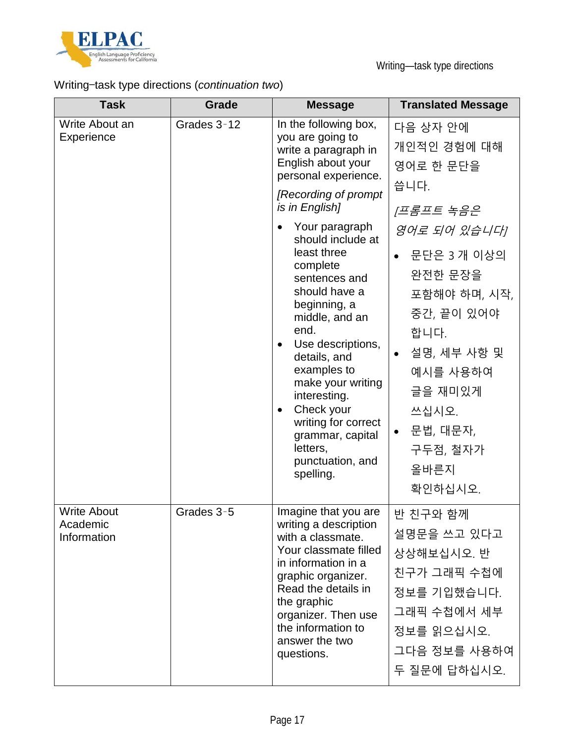

## Writing—task type directions (*continuation two*)

| <b>Task</b>                                   | Grade       | <b>Message</b>                                                                                                                                                                                                                                                                                                                                                                                                                                                                                                                                | <b>Translated Message</b>                                                                                                                                                                                                                       |
|-----------------------------------------------|-------------|-----------------------------------------------------------------------------------------------------------------------------------------------------------------------------------------------------------------------------------------------------------------------------------------------------------------------------------------------------------------------------------------------------------------------------------------------------------------------------------------------------------------------------------------------|-------------------------------------------------------------------------------------------------------------------------------------------------------------------------------------------------------------------------------------------------|
| Write About an<br>Experience                  | Grades 3-12 | In the following box,<br>you are going to<br>write a paragraph in<br>English about your<br>personal experience.<br>[Recording of prompt<br>is in English]<br>Your paragraph<br>$\bullet$<br>should include at<br>least three<br>complete<br>sentences and<br>should have a<br>beginning, a<br>middle, and an<br>end.<br>Use descriptions,<br>$\bullet$<br>details, and<br>examples to<br>make your writing<br>interesting.<br>Check your<br>$\bullet$<br>writing for correct<br>grammar, capital<br>letters,<br>punctuation, and<br>spelling. | 다음 상자 안에<br>개인적인 경험에 대해<br>영어로 한 문단을<br>씁니다.<br>[프롬프트 녹음은<br>영어로 되어 있습니다]<br>문단은 3개 이상의<br>완전한 문장을<br>포함해야 하며, 시작,<br>중간, 끝이 있어야<br>합니다.<br>설명, 세부 사항 및<br>예시를 사용하여<br>글을 재미있게<br>쓰십시오.<br>문법, 대문자,<br>$\bullet$<br>구두점, 철자가<br>올바른지<br>확인하십시오. |
| <b>Write About</b><br>Academic<br>Information | Grades 3-5  | Imagine that you are<br>writing a description<br>with a classmate.<br>Your classmate filled<br>in information in a<br>graphic organizer.<br>Read the details in<br>the graphic<br>organizer. Then use<br>the information to<br>answer the two<br>questions.                                                                                                                                                                                                                                                                                   | 반 친구와 함께<br>설명문을 쓰고 있다고<br>상상해보십시오. 반<br>친구가 그래픽 수첩에<br>정보를 기입했습니다.<br>그래픽 수첩에서 세부<br>정보를 읽으십시오.<br>그다음 정보를 사용하여<br>두 질문에 답하십시오.                                                                                                                |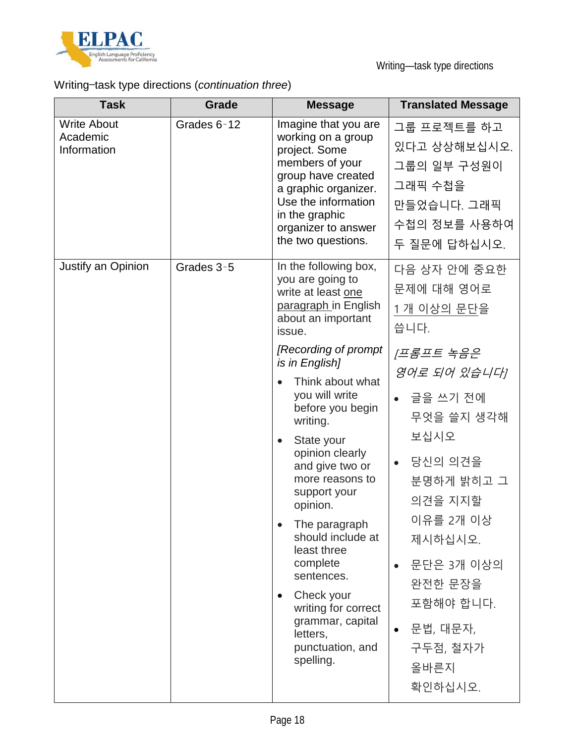

## Writing—task type directions (*continuation three*)

| <b>Task</b>                                   | Grade       | <b>Message</b>                                                                                                                                                                                                                                                                                                                                                                    | <b>Translated Message</b>                                                                                                                                                                                  |
|-----------------------------------------------|-------------|-----------------------------------------------------------------------------------------------------------------------------------------------------------------------------------------------------------------------------------------------------------------------------------------------------------------------------------------------------------------------------------|------------------------------------------------------------------------------------------------------------------------------------------------------------------------------------------------------------|
| <b>Write About</b><br>Academic<br>Information | Grades 6-12 | Imagine that you are<br>working on a group<br>project. Some<br>members of your<br>group have created<br>a graphic organizer.<br>Use the information<br>in the graphic<br>organizer to answer<br>the two questions.                                                                                                                                                                | 그룹 프로젝트를 하고<br>있다고 상상해보십시오.<br>그룹의 일부 구성원이<br>그래픽 수첩을<br>만들었습니다. 그래픽<br>수첩의 정보를 사용하여<br>두 질문에 답하십시오.                                                                                                       |
| Justify an Opinion                            | Grades 3-5  | In the following box,<br>you are going to<br>write at least one<br>paragraph in English<br>about an important<br>issue.<br>[Recording of prompt]                                                                                                                                                                                                                                  | 다음 상자 안에 중요한<br>문제에 대해 영어로<br>1개 이상의 문단을<br>씁니다.<br>프롬프트 녹음은                                                                                                                                               |
|                                               |             | is in English]<br>Think about what<br>you will write<br>before you begin<br>writing.<br>State your<br>opinion clearly<br>and give two or<br>more reasons to<br>support your<br>opinion.<br>The paragraph<br>should include at<br>least three<br>complete<br>sentences.<br>Check your<br>٠<br>writing for correct<br>grammar, capital<br>letters,<br>punctuation, and<br>spelling. | 영어로 되어 있습니다!<br>• 글을 쓰기 전에<br>무엇을 쓸지 생각해<br>보십시오<br>당신의 의견을<br>분명하게 밝히고 그<br>의견을 지지할<br>이유를 2개 이상<br>제시하십시오.<br>문단은 3개 이상의<br>완전한 문장을<br>포함해야 합니다.<br>문법, 대문자,<br>$\bullet$<br>구두점, 철자가<br>올바른지<br>확인하십시오. |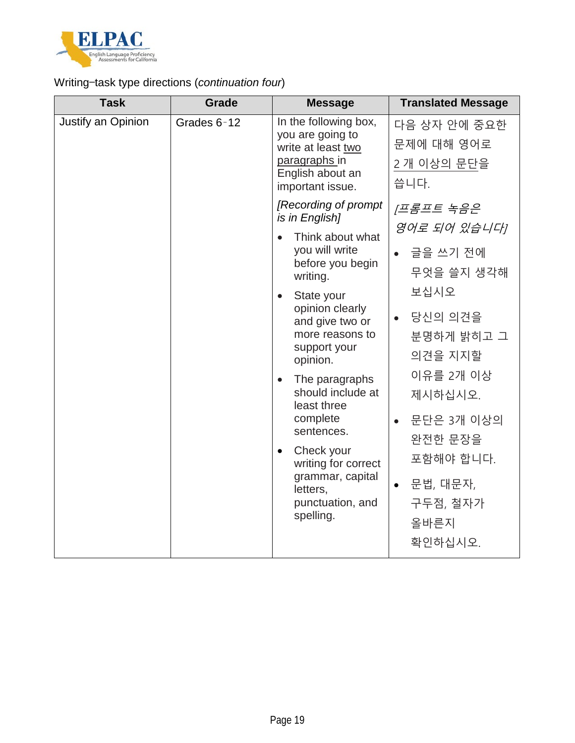

### Writing—task type directions (*continuation four*)

| <b>Task</b>        | Grade       | <b>Message</b>                                                                                                                                                                                                                                                                                                                                                                                                                               | <b>Translated Message</b>                                                                                                                                                                                       |
|--------------------|-------------|----------------------------------------------------------------------------------------------------------------------------------------------------------------------------------------------------------------------------------------------------------------------------------------------------------------------------------------------------------------------------------------------------------------------------------------------|-----------------------------------------------------------------------------------------------------------------------------------------------------------------------------------------------------------------|
| Justify an Opinion | Grades 6-12 | In the following box,<br>you are going to<br>write at least two<br>paragraphs in<br>English about an<br>important issue.                                                                                                                                                                                                                                                                                                                     | 다음 상자 안에 중요한<br>문제에 대해 영어로<br>2개 이상의 문단을<br>씁니다.                                                                                                                                                                |
|                    |             | [Recording of prompt<br>is in English]<br>Think about what<br>$\bullet$<br>you will write<br>before you begin<br>writing.<br>State your<br>opinion clearly<br>and give two or<br>more reasons to<br>support your<br>opinion.<br>The paragraphs<br>$\bullet$<br>should include at<br>least three<br>complete<br>sentences.<br>Check your<br>$\bullet$<br>writing for correct<br>grammar, capital<br>letters,<br>punctuation, and<br>spelling. | <u> 프롬프트 녹음은</u><br>영어로 되어 있습니다!<br>글을 쓰기 전에<br>무엇을 쓸지 생각해<br>보십시오<br>당신의 의견을<br>분명하게 밝히고 그<br>의견을 지지할<br>이유를 2개 이상<br>제시하십시오.<br>문단은 3개 이상의<br>완전한 문장을<br>포함해야 합니다.<br>문법, 대문자,<br>구두점, 철자가<br>올바른지<br>확인하십시오. |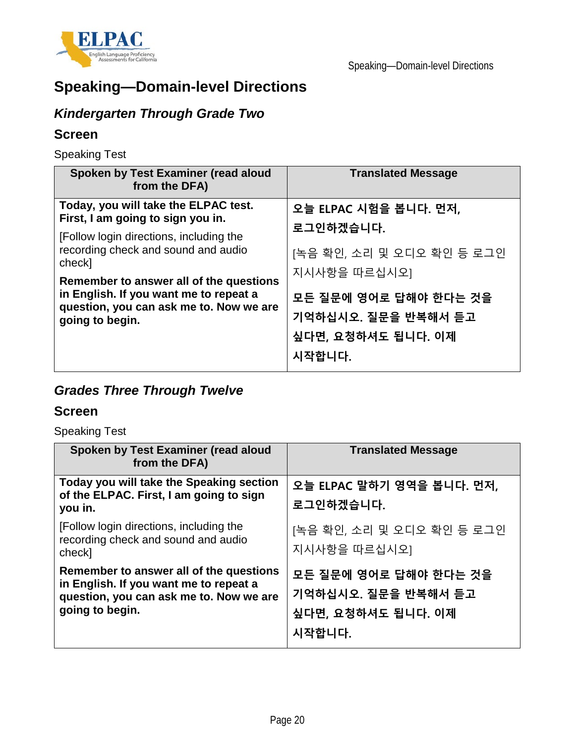

# **Speaking—Domain-level Directions**

## *Kindergarten Through Grade Two*

#### **Screen**

Speaking Test

| Spoken by Test Examiner (read aloud<br>from the DFA)                                                                                                                                                                                                                                                                     | <b>Translated Message</b>                                                                    |
|--------------------------------------------------------------------------------------------------------------------------------------------------------------------------------------------------------------------------------------------------------------------------------------------------------------------------|----------------------------------------------------------------------------------------------|
| Today, you will take the ELPAC test.<br>First, I am going to sign you in.<br>[Follow login directions, including the<br>recording check and sound and audio<br>check]<br>Remember to answer all of the questions<br>in English. If you want me to repeat a<br>question, you can ask me to. Now we are<br>going to begin. | 오늘 ELPAC 시험을 봅니다. 먼저,<br>로그인하겠습니다.<br>[녹음 확인, 소리 및 오디오 확인 등 로그인                              |
|                                                                                                                                                                                                                                                                                                                          | 지시사항을 따르십시오]<br>모든 질문에 영어로 답해야 한다는 것을<br>기억하십시오. 질문을 반복해서 듣고<br>싶다면, 요청하셔도 됩니다. 이제<br>시작합니다. |

## *Grades Three Through Twelve*

#### **Screen**

Speaking Test

| Spoken by Test Examiner (read aloud<br>from the DFA)                                                                                            | <b>Translated Message</b>                                                    |
|-------------------------------------------------------------------------------------------------------------------------------------------------|------------------------------------------------------------------------------|
| Today you will take the Speaking section<br>of the ELPAC. First, I am going to sign<br>you in.                                                  | 오늘 ELPAC 말하기 영역을 봅니다. 먼저,<br>로그인하겠습니다.                                       |
| [Follow login directions, including the<br>recording check and sound and audio<br>check]                                                        | [녹음 확인, 소리 및 오디오 확인 등 로그인<br>지시사항을 따르십시오]                                    |
| Remember to answer all of the questions<br>in English. If you want me to repeat a<br>question, you can ask me to. Now we are<br>going to begin. | 모든 질문에 영어로 답해야 한다는 것을<br>기억하십시오. 질문을 반복해서 듣고<br>싶다면, 요청하셔도 됩니다. 이제<br>시작합니다. |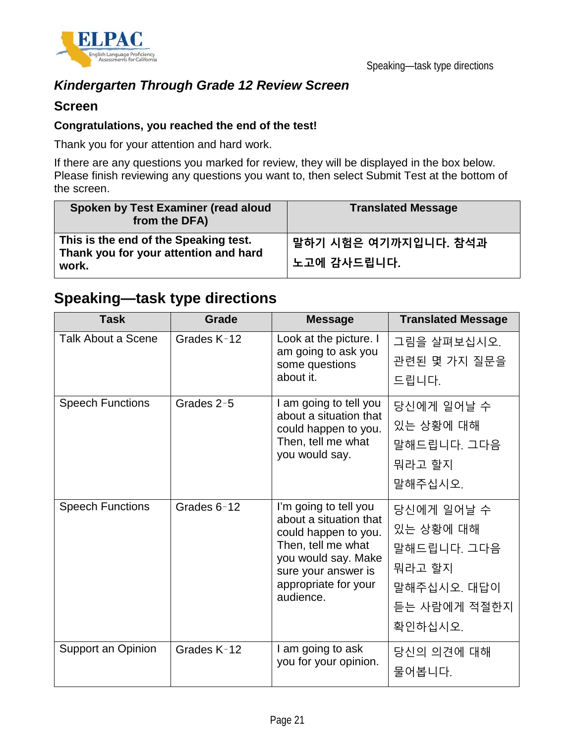

## *Kindergarten Through Grade 12 Review Screen*

#### **Screen**

#### **Congratulations, you reached the end of the test!**

Thank you for your attention and hard work.

If there are any questions you marked for review, they will be displayed in the box below. Please finish reviewing any questions you want to, then select Submit Test at the bottom of the screen.

| Spoken by Test Examiner (read aloud<br>from the DFA)                                    | <b>Translated Message</b>           |
|-----------------------------------------------------------------------------------------|-------------------------------------|
| This is the end of the Speaking test.<br>Thank you for your attention and hard<br>work. | 말하기 시험은 여기까지입니다. 참석과<br>노고에 감사드립니다. |

## **Speaking—task type directions**

| <b>Task</b>               | Grade       | <b>Message</b>                                                                                                                                                                   | <b>Translated Message</b>                                                                  |
|---------------------------|-------------|----------------------------------------------------------------------------------------------------------------------------------------------------------------------------------|--------------------------------------------------------------------------------------------|
| <b>Talk About a Scene</b> | Grades K-12 | Look at the picture. I<br>am going to ask you<br>some questions<br>about it.                                                                                                     | 그림을 살펴보십시오.<br>관련된 몇 가지 질문을<br>드립니다.                                                       |
| <b>Speech Functions</b>   | Grades 2-5  | I am going to tell you<br>about a situation that<br>could happen to you.<br>Then, tell me what<br>you would say.                                                                 | 당신에게 일어날 수<br>있는 상황에 대해<br>말해드립니다. 그다음<br>뭐라고 할지<br>말해주십시오.                                |
| <b>Speech Functions</b>   | Grades 6-12 | I'm going to tell you<br>about a situation that<br>could happen to you.<br>Then, tell me what<br>you would say. Make<br>sure your answer is<br>appropriate for your<br>audience. | 당신에게 일어날 수<br>있는 상황에 대해<br>말해드립니다. 그다음<br>뭐라고 할지<br>말해주십시오. 대답이<br>듣는 사람에게 적절한지<br>확인하십시오. |
| Support an Opinion        | Grades K-12 | I am going to ask<br>you for your opinion.                                                                                                                                       | 당신의 의견에 대해<br>물어봅니다.                                                                       |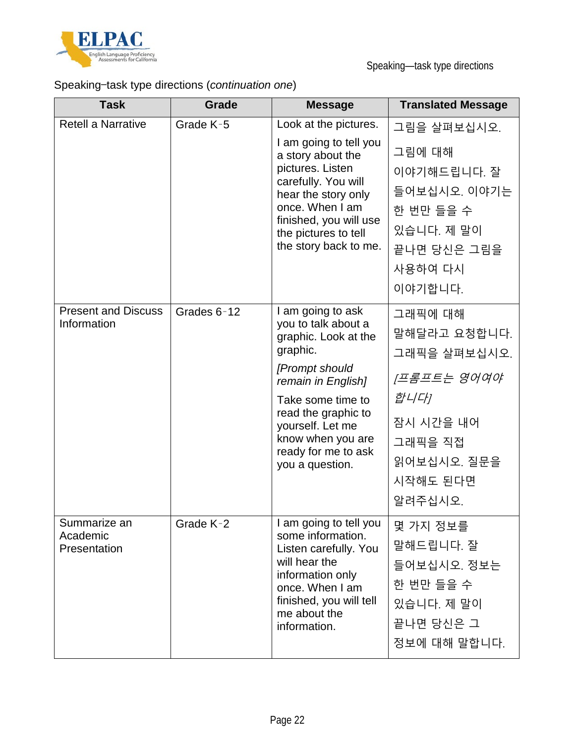

## Speaking—task type directions (*continuation one*)

| <b>Task</b>                               | Grade       | <b>Message</b>                                                                                                                                                                                                                                      | <b>Translated Message</b>                                                                                                    |
|-------------------------------------------|-------------|-----------------------------------------------------------------------------------------------------------------------------------------------------------------------------------------------------------------------------------------------------|------------------------------------------------------------------------------------------------------------------------------|
| <b>Retell a Narrative</b>                 | Grade K-5   | Look at the pictures.<br>I am going to tell you<br>a story about the<br>pictures. Listen<br>carefully. You will<br>hear the story only<br>once. When I am<br>finished, you will use<br>the pictures to tell<br>the story back to me.                | 그림을 살펴보십시오.<br>그림에 대해<br>이야기해드립니다. 잘<br>들어보십시오. 이야기는<br>한 번만 들을 수<br>있습니다. 제 말이<br>끝나면 당신은 그림을<br>사용하여 다시<br>이야기합니다.         |
| <b>Present and Discuss</b><br>Information | Grades 6-12 | I am going to ask<br>you to talk about a<br>graphic. Look at the<br>graphic.<br>[Prompt should<br>remain in English]<br>Take some time to<br>read the graphic to<br>yourself. Let me<br>know when you are<br>ready for me to ask<br>you a question. | 그래픽에 대해<br>말해달라고 요청합니다.<br>그래픽을 살펴보십시오.<br>[프롬프트는 영어여야<br>합니다]<br>잠시 시간을 내어<br>그래픽을 직접<br>읽어보십시오. 질문을<br>시작해도 된다면<br>알려주십시오. |
| Summarize an<br>Academic<br>Presentation  | Grade K-2   | I am going to tell you<br>some information.<br>Listen carefully. You<br>will hear the<br>information only<br>once. When I am<br>finished, you will tell<br>me about the<br>information.                                                             | 몇 가지 정보를<br>말해드립니다. 잘<br>들어보십시오. 정보는<br>한 번만 들을 수<br>있습니다. 제 말이<br>끝나면 당신은 그<br>정보에 대해 말합니다.                                 |